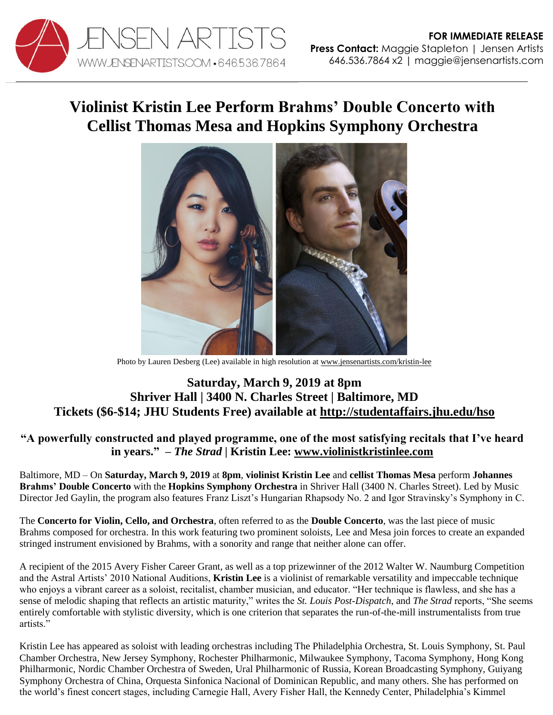

## **Violinist Kristin Lee Perform Brahms' Double Concerto with Cellist Thomas Mesa and Hopkins Symphony Orchestra**



Photo by Lauren Desberg (Lee) available in high resolution at [www.jensenartists.com/kristin-lee](http://www.jensenartists.com/kristin-lee)

## **Saturday, March 9, 2019 at 8pm Shriver Hall | 3400 N. Charles Street | Baltimore, MD Tickets (\$6-\$14; JHU Students Free) available at [http://studentaffairs.jhu.edu/hso](https://studentaffairs.jhu.edu/hso/event/symphony-orchestra-brahms-double-concerto-stravinsky-symphony-in-c/?instance_id=45)**

## **"A powerfully constructed and played programme, one of the most satisfying recitals that I've heard in years." –** *The Strad* **| Kristin Lee: [www.violinistkristinlee.com](http://www.violinistkristinlee.com/)**

Baltimore, MD – On **Saturday, March 9, 2019** at **8pm**, **violinist Kristin Lee** and **cellist Thomas Mesa** perform **Johannes Brahms' Double Concerto** with the **Hopkins Symphony Orchestra** in Shriver Hall (3400 N. Charles Street). Led by Music Director Jed Gaylin, the program also features Franz Liszt's Hungarian Rhapsody No. 2 and Igor Stravinsky's Symphony in C.

The **Concerto for Violin, Cello, and Orchestra**, often referred to as the **Double Concerto**, was the last piece of music Brahms composed for orchestra. In this work featuring two prominent soloists, Lee and Mesa join forces to create an expanded stringed instrument envisioned by Brahms, with a sonority and range that neither alone can offer.

A recipient of the 2015 Avery Fisher Career Grant, as well as a top prizewinner of the 2012 Walter W. Naumburg Competition and the Astral Artists' 2010 National Auditions, **Kristin Lee** is a violinist of remarkable versatility and impeccable technique who enjoys a vibrant career as a soloist, recitalist, chamber musician, and educator. "Her technique is flawless, and she has a sense of melodic shaping that reflects an artistic maturity," writes the *St. Louis Post-Dispatch*, and *The Strad* reports, "She seems entirely comfortable with stylistic diversity, which is one criterion that separates the run-of-the-mill instrumentalists from true artists."

Kristin Lee has appeared as soloist with leading orchestras including The Philadelphia Orchestra, St. Louis Symphony, St. Paul Chamber Orchestra, New Jersey Symphony, Rochester Philharmonic, Milwaukee Symphony, Tacoma Symphony, Hong Kong Philharmonic, Nordic Chamber Orchestra of Sweden, Ural Philharmonic of Russia, Korean Broadcasting Symphony, Guiyang Symphony Orchestra of China, Orquesta Sinfonica Nacional of Dominican Republic, and many others. She has performed on the world's finest concert stages, including Carnegie Hall, Avery Fisher Hall, the Kennedy Center, Philadelphia's Kimmel